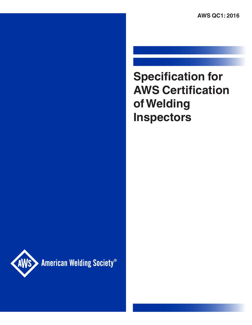**AWS QC1: 2016**

# **Specification for AWS Certification of Welding Inspectors**



American Welding Society®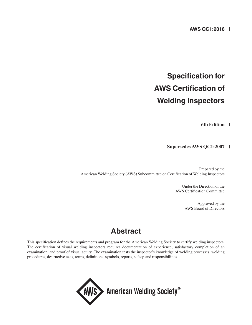## **Specification for AWS Certification of Welding Inspectors**

**6th Edition**

**Supersedes AWS QC1:2007**

Prepared by the American Welding Society (AWS) Subcommittee on Certification of Welding Inspectors

> Under the Direction of the AWS Certification Committee

> > Approved by the AWS Board of Directors

### **Abstract**

This specification defines the requirements and program for the American Welding Society to certify welding inspectors. The certification of visual welding inspectors requires documentation of experience, satisfactory completion of an examination, and proof of visual acuity. The examination tests the inspector's knowledge of welding processes, welding procedures, destructive tests, terms, definitions, symbols, reports, safety, and responsibilities.

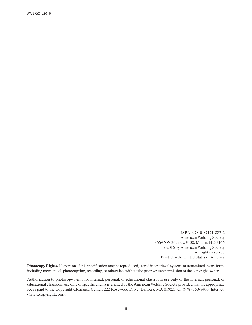AWS QC1: 2016

ISBN: 978-0-87171-882-2 American Welding Society 8669 NW 36th St., #130, Miami, FL 33166 ©2016 by American Welding Society All rights reserved Printed in the United States of America

**Photocopy Rights.** No portion of this specification may be reproduced, stored in a retrieval system, or transmitted in any form, including mechanical, photocopying, recording, or otherwise, without the prior written permission of the copyright owner.

Authorization to photocopy items for internal, personal, or educational classroom use only or the internal, personal, or educational classroom use only of specific clients is granted by the American Welding Society provided that the appropriate fee is paid to the Copyright Clearance Center, 222 Rosewood Drive, Danvers, MA 01923, tel: (978) 750-8400; Internet: <www.copyright.com>.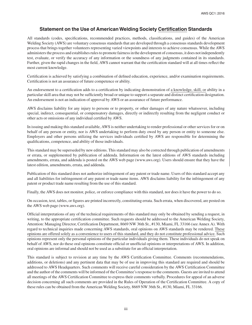#### **Statement on the Use of American Welding Society Certification Standards**

All standards (codes, specifications, recommended practices, methods, classifications, and guides) of the American Welding Society (AWS) are voluntary consensus standards that are developed through a consensus standards development process that brings together volunteers representing varied viewpoints and interests to achieve consensus. While the AWS administers the process and establishes rules to promote fairness in the development of consensus, it does not independently test, evaluate, or verify the accuracy of any information or the soundness of any judgments contained in its standards. Further, given the rapid changes in the field, AWS cannot warrant that the certification standard will at all times reflect the most current knowledge.

Certification is achieved by satisfying a combination of defined education, experience, and/or examination requirements. Certification is not an assurance of future competence or ability.

An endorsement to a certification adds to a certification by indicating demonstration of a knowledge, skill, or ability in a particular skill area that may not be sufficiently broad or unique to support a separate and distinct certification designation. An endorsement is not an indication of approval by AWS or an assurance of future performance.

AWS disclaims liability for any injury to persons or to property, or other damages of any nature whatsoever, including special, indirect, consequential, or compensatory damages, directly or indirectly resulting from the negligent conduct or other acts or omissions of any individual certified by AWS.

In issuing and making this standard available, AWS is neither undertaking to render professional or other services for or on behalf of any person or entity, nor is AWS undertaking to perform duty owed by any person or entity to someone else. Employers and other persons utilizing the services individuals certified by AWS are responsible for determining the qualifications, competence, and ability of those individuals.

This standard may be superseded by new editions. This standard may also be corrected through publication of amendments or errata, or supplemented by publication of addenda. Information on the latest editions of AWS standards including amendments, errata, and addenda is posted on the AWS web page (www.aws.org). Users should ensure that they have the latest edition, amendments, errata, and addenda.

Publication of this standard does not authorize infringement of any patent or trade name. Users of this standard accept any and all liabilities for infringement of any patent or trade name items. AWS disclaims liability for the infringement of any patent or product trade name resulting from the use of this standard.

Finally, the AWS does not monitor, police, or enforce compliance with this standard, nor does it have the power to do so.

On occasion, text, tables, or figures are printed incorrectly, constituting errata. Such errata, when discovered, are posted on the AWS web page (www.aws.org).

Official interpretations of any of the technical requirements of this standard may only be obtained by sending a request, in writing, to the appropriate certification committee. Such requests should be addressed to the American Welding Society, Attention: Managing Director, Certification Department, 8669 NW 36th St., #130, Miami, FL 33166 (see Annex A). With regard to technical inquiries made concerning AWS standards, oral opinions on AWS standards may be rendered. These opinions are offered solely as a convenience to users of this standard, and they do not constitute professional advice. Such opinions represent only the personal opinions of the particular individuals giving them. These individuals do not speak on behalf of AWS, nor do these oral opinions constitute official or unofficial opinions or interpretations of AWS. In addition, oral opinions are informal and should not be used as a substitute for an official interpretation.

This standard is subject to revision at any time by the AWS Certification Committee. Comments (recommendations, additions, or deletions) and any pertinent data that may be of use in improving this standard are required and should be addressed to AWS Headquarters. Such comments will receive careful consideration by the AWS Certification Committee and the author of the comments will be informed of the Committee's response to the comments. Guests are invited to attend all meetings of the AWS Certification Committee to express their comments verbally. Procedures for appeal of an adverse decision concerning all such comments are provided in the Rules of Operation of the Certification Committee. A copy of these rules can be obtained from the American Welding Society, 8669 NW 36th St., #130, Miami, FL 33166.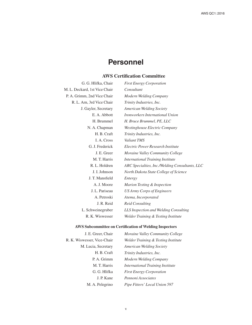### **Personnel**

#### **AWS Certification Committee**

| G. G. Hlifka, Chair           | <b>First Energy Corporation</b>                |
|-------------------------------|------------------------------------------------|
| M. L. Deckard, 1st Vice Chair | Consultant                                     |
| P. A. Grimm, 2nd Vice Chair   | Modern Welding Company                         |
| R. L. Arn, 3rd Vice Chair     | Trinity Industries, Inc.                       |
| J. Gayler, Secretary          | <b>American Welding Society</b>                |
| E. A. Abbott                  | Ironworkers International Union                |
| H. Brummel                    | H. Bruce Brummel, PE, LLC                      |
| N. A. Chapman                 | Westinghouse Electric Company                  |
| H. B. Craft                   | Trinity Industries, Inc.                       |
| I. A. Cross                   | Valiant TMS                                    |
| G. J. Frederick               | Electric Power Research Institute              |
| J. E. Greer                   | Moraine Valley Community College               |
| M. T. Harris                  | <b>International Training Institute</b>        |
| R. L. Holdren                 | ARC Specialties, Inc./Welding Consultants, LLC |
| J. I. Johnson                 | North Dakota State College of Science          |
| J. T. Mansfield               | Entergy                                        |
| A. J. Moore                   | Marion Testing & Inspection                    |
| J. L. Pariseau                | <b>US Army Corps of Engineers</b>              |
| A. Petroski                   | Atema, Incorporated                            |
| J. R. Reid                    | <b>Reid Consulting</b>                         |
| L. Schweinegruber             | LLS Inspection and Welding Consulting          |
| R. K. Wiswesser               | Welder Training & Testing Institute            |

#### **AWS Subcommittee on Certification of Welding Inspectors**

| J. E. Greer, Chair          | Moraine Valley Community College    |
|-----------------------------|-------------------------------------|
| R. K. Wiswesser, Vice-Chair | Welder Training & Testing Institute |
| M. Lucia, Secretary         | <b>American Welding Society</b>     |
| H. B. Craft                 | Trinity Industries, Inc.            |
| P. A. Grimm                 | Modern Welding Company              |
| M. T. Harris                | International Training Institute    |
| G. G. Hlifka                | <b>First Energy Corporation</b>     |
| J. P. Kane                  | Pennoni Associates                  |
| M. A. Pelegrino             | Pipe Fitters' Local Union 597       |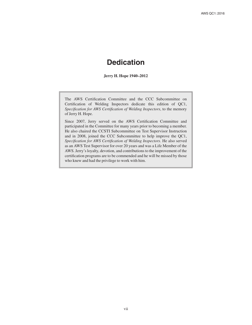### **Dedication**

**Jerry H. Hope 1940–2012**

The AWS Certification Committee and the CCC Subcommittee on Certification of Welding Inspectors dedicate this edition of QC1, *Specification for AWS Certification of Welding Inspectors*, to the memory of Jerry H. Hope.

Since 2007, Jerry served on the AWS Certification Committee and participated in the Committee for many years prior to becoming a member. He also chaired the CCSTI Subcommittee on Test Supervisor Instruction and in 2008, joined the CCC Subcommittee to help improve the QC1, *Specification for AWS Certification of Welding Inspectors*. He also served as an AWS Test Supervisor for over 20 years and was a Life Member of the AWS. Jerry's loyalty, devotion, and contributions to the improvement of the certification programs are to be commended and he will be missed by those who knew and had the privilege to work with him.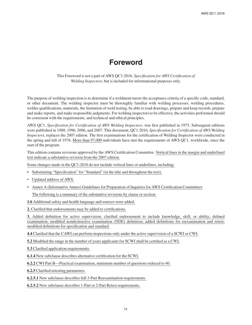### **Foreword**

This Foreword is not a part of AWS QC1:2016, *Specification for AWS Certification of Welding Inspectors*, but is included for informational purposes only.

The purpose of welding inspection is to determine if a weldment meets the acceptance criteria of a specific code, standard, or other document. The welding inspector must be thoroughly familiar with welding processes, welding procedures, welder qualifications, materials, the limitation of weld testing, be able to read drawings, prepare and keep records, prepare and make reports, and make responsible judgments. For welding inspectors to be effective, the activities performed should be consistent with the requirements, and technical and ethical principles.

AWS QC1, *Specification for Certification of AWS Welding Inspectors*, was first published in 1975. Subsequent editions were published in 1988, 1996, 2006, and 2007. This document, QC1:2016, *Specification for Certification of AWS Welding Inspectors*, replaces the 2007 edition. The first examinations for the certification of Welding Inspector were conducted in the spring and fall of 1976. More than 97,000 individuals have met the requirements of AWS QC1, worldwide, since the start of the program.

This edition contains revisions approved by the AWS Certification Committee. Vertical lines in the margin and underlined text indicate a substantive revision from the 2007 edition.

Some changes made in the QC1:2016 do not include vertical lines or underlines, including:

- Substituting "Specification" for "Standard" (in the title and throughout the text).
- Updated address of AWS.
- Annex A (Informative Annex) Guidelines for Preparation of Inquiries for AWS Certification Committees

The following is a summary of the substantive revisions by clause or section:

**1.6** Additional safety and health language and sources were added.

**2.** Clarified that endorsements may be added to certifications.

**3.** Added definition for active supervision; clarified endorsement to include knowledge, skill, or ability; defined examination; modified nondestructive examination (NDE) definition; added definitions for reexamination and retest; modified definitions for specification and standard.

**4.4** Clarified that the CAWI can perform inspections only under the active supervision of a SCWI or CWI.

**5.2** Modified the range in the number of years applicants for SCWI shall be certified as a CWI.

**5.3** Clarified application requirements.

**6.1.4** New subclause describes alternative certification for the SCWI.

**6.2.2** CWI Part B—Practical examination, minimum number of questions reduced to 40.

**6.2.5** Clarified retesting parameters.

**6.2.5.1** New subclause describes full 3-Part Reexamination requirements.

**6.2.5.2** New subclause describes 1-Part or 2-Part Retest requirements.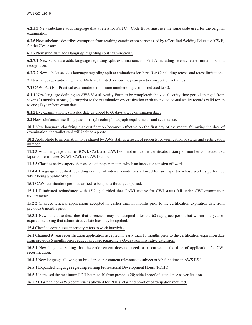**6.2.5.3** New subclause adds language that a retest for Part C—Code Book must use the same code used for the original examination.

**6.2.6** New subclause describes exemption from retaking certain exam parts passed by a Certified Welding Educator (CWE) for the CWI exam.

**6.2.7** New subclause adds language regarding split examinations.

**6.2.7.1** New subclause adds language regarding split examinations for Part A including retests, retest limitations, and recognition.

**6.2.7.2** New subclause adds language regarding split examinations for Parts B & C including retests and retest limitations.

**7.** New language cautioning that CAWIs are limited on how they can practice inspection activities.

**7.1** CAWI Part B—Practical examination, minimum number of questions reduced to 40.

**8.1.1** New language defining an AWS Visual Acuity Form to be completed; the visual acuity time period changed from seven (7) months to one (1) year prior to the examination or certification expiration date; visual acuity records valid for up to one (1) year from exam date.

**8.1.2** Eye examination results due date extended to 60 days after examination date.

**8.2** New subclause describing passport-style color photograph requirements and acceptance.

**10.1** New language clarifying that certification becomes effective on the first day of the month following the date of examination; the wallet card will include a photo.

**10.2** Adds photo to information to be shared by AWS staff as a result of requests for verification of status and certification number.

**11.2.3** Adds language that the SCWI, CWI, and CAWI will not utilize the certification stamp or number connected to a lapsed or terminated SCWI, CWI, or CAWI status.

**11.2.5** Clarifies active supervision as one of the parameters which an inspector can sign off work.

**11.4.4** Language modified regarding conflict of interest conditions allowed for an inspector whose work is performed while being a public official.

**15.1** CAWI certification period clarified to be up to a three-year period.

**15.1.1** Eliminated redundancy with 15.2.1; clarified that CAWI testing for CWI status fall under CWI examination requirements.

**15.2.2** Changed renewal applications accepted no earlier than 11 months prior to the certification expiration date from previous 6 months prior.

**15.3.2** New subclause describes that a renewal may be accepted after the 60-day grace period but within one year of expiration, noting that administrative late fees may be applied.

**15.4** Clarified continuous inactivity refers to work inactivity.

**16.1** Changed 9-year recertification application accepted no early than 11 months prior to the certification expiration date from previous 6 months prior; added language regarding a 60-day administrative extension.

**16.3.1** New language stating that the endorsement does not need to be current at the time of application for CWI recertification.

**16.4.2** New language allowing for broader course content relevance to subject or job functions in AWS B5.1.

**16.5.1** Expanded language regarding earning Professional Development Hours (PDHs).

**16.5.2** Increased the maximum PDH hours to 40 from previous 20; added proof of attendance as verification.

**16.5.3** Clarified non-AWS conferences allowed for PDHs; clarified proof of participation required.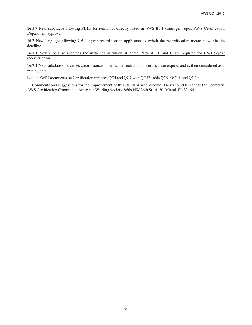**16.5.9** New subclause allowing PDHs for items not directly listed in AWS B5.1 contingent upon AWS Certification Department approval.

**16.7** New language allowing CWI 9-year recertification applicants to switch the recertification means if within the deadline.

**16.7.1** New subclause specifies the instances in which all three Parts A, B, and C are required for CWI 9-year recertification.

**16.7.2** New subclause describes circumstances in which an individual's certification expires and is then considered as a new applicant.

List of AWS Documents on Certification replaces QC4 and QC7 with QC47; adds QC9, QC14, and QC20.

Comments and suggestions for the improvement of this standard are welcome. They should be sent to the Secretary, AWS Certification Committee, American Welding Society, 8669 NW 36th St., #130, Miami, FL 33166.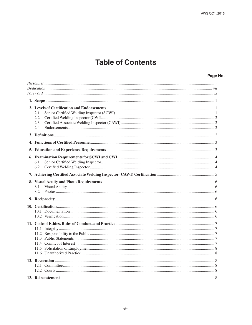### **Table of Contents**

#### Page No.

| 2.1<br>2.2<br>2.3<br>2.4 |  |
|--------------------------|--|
|                          |  |
|                          |  |
|                          |  |
| 6.1<br>6.2               |  |
|                          |  |
| 8.1<br>8.2               |  |
|                          |  |
|                          |  |
|                          |  |
|                          |  |
|                          |  |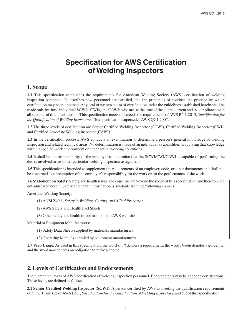### **Specification for AWS Certification of Welding Inspectors**

#### **1. Scope**

**1.1** This specification establishes the requirements for American Welding Society (AWS) certification of welding inspection personnel. It describes how personnel are certified, and the principles of conduct and practice by which certification may be maintained. Any oral or written claim of certification under the guidelines established herein shall be made only by those individual SCWIs, CWIs, and CAWIs who are, at the time of the claim, current and in compliance with all sections of this specification. This specification meets or exceeds the requirements of AWS B5.1:2013, *Specification for the Qualification of Welding Inspectors*. This specification supersedes AWS QC1:2007.

**1.2** The three levels of certification are Senior Certified Welding Inspector (SCWI), Certified Welding Inspector (CWI), and Certified Associate Welding Inspector (CAWI).

**1.3** In the certification process, AWS conducts an examination to determine a person's general knowledge of welding inspection and related technical areas. No determination is made of an individual's capabilities in applying that knowledge within a specific work environment or under actual working conditions.

**1.4** It shall be the responsibility of the employer to determine that the SCWI/CWI/CAWI is capable of performing the duties involved in his or her particular welding inspection assignment.

**1.5** This specification is intended to supplement the requirements of an employer, code, or other documents and shall not be construed as a preemption of the employer's responsibility for the work or for the performance of the work.

**1.6 Statement on Safety.** Safety and health issues and concerns are beyond the scope of this specification and therefore are not addressed herein. Safety and health information is available from the following sources:

American Welding Society:

- (1) ANSI Z49.1, *Safety in Welding, Cutting, and Allied Processes*
- (2) AWS Safety and Health Fact Sheets
- (3) Other safety and health information on the AWS web site

Material or Equipment Manufacturers:

- (1) Safety Data Sheets supplied by materials manufacturers
- (2) Operating Manuals supplied by equipment manufacturers

**1.7 Verb Usage.** As used in this specification, the word *shall* denotes a requirement; the word *should* denotes a guideline; and the word *may* denotes an obligation to make a choice.

#### **2. Levels of Certification and Endorsements**

There are three levels of AWS certification of welding inspection personnel. Endorsements may be added to certifications. These levels are defined as follows:

**2.1 Senior Certified Welding Inspector (SCWI).** A person certified by AWS as meeting the qualification requirements of 5.3, 6.1, and 6.2 of AWS B5.1, *Specification for the Qualification of Welding Inspectors*, and 5.2 of this specification.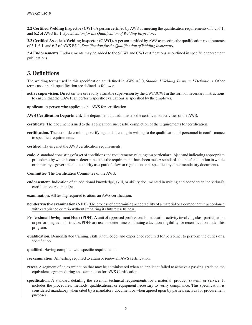**2.2 Certified Welding Inspector (CWI).** A person certified by AWS as meeting the qualification requirements of 5.2, 6.1, and 6.2 of AWS B5.1, *Specification for the Qualification of Welding Inspectors*.

**2.3 Certified Associate Welding Inspector (CAWI).** A person certified by AWS as meeting the qualification requirements of 5.1, 6.1, and 6.2 of AWS B5.1, *Specification for the Qualification of Welding Inspectors*.

**2.4 Endorsements.** Endorsements may be added to the SCWI and CWI certifications as outlined in specific endorsement publications.

#### **3. Definitions**

The welding terms used in this specification are defined in AWS A3.0, *Standard Welding Terms and Definitions*. Other terms used in this specification are defined as follows:

**active supervision.** Direct on-site or readily available supervision by the CWI/SCWI in the form of necessary instructions to ensure that the CAWI can perform specific evaluations as specified by the employer.

**applicant.** A person who applies to the AWS for certification.

**AWS Certification Department.** The department that administers the certification activities of the AWS.

**certificate.** The document issued to the applicant on successful completion of the requirements for certification.

- **certification.** The act of determining, verifying, and attesting in writing to the qualification of personnel in conformance to specified requirements.
- **certified.** Having met the AWS certification requirements.
- **code.** A standard consisting of a set of conditions and requirements relating to a particular subject and indicating appropriate procedures by which it can be determined that the requirements have been met. A standard suitable for adoption in whole or in part by a governmental authority as a part of a law or regulation or as specified by other mandatory documents.
- **Committee.** The Certification Committee of the AWS.
- **endorsement.** Indication of an additional knowledge, skill, or ability documented in writing and added to an individual's certification credential(s).
- **examination.** All testing required to attain an AWS certification.
- **nondestructive examination (NDE).** The process of determining acceptability of a material or a component in accordance with established criteria without impairing its future usefulness.
- **Professional Devlopment Hour (PDH).** A unit of approved professional or education activity involving class participation or performing as an instructor. PDHs are used to determine continuing education eligibility for recertification under this program.
- **qualification.** Demonstrated training, skill, knowledge, and experience required for personnel to perform the duties of a specific job.

**qualified.** Having complied with specific requirements.

**reexamination.** All testing required to attain or renew an AWS certification.

- **retest.** A segment of an examination that may be administered when an applicant failed to achieve a passing grade on the equivalent segment during an examination for AWS Certification.
- **specification.** A standard detailing the essential technical requirements for a material, product, system, or service. It includes the procedures, methods, qualifications, or equipment necessary to verify compliance. This specification is considered mandatory when cited by a mandatory document or when agreed upon by parties, such as for procurement purposes.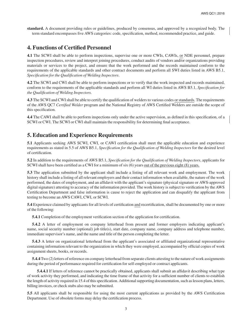**standard.** A document providing rules or guidelines, produced by consensus, and approved by a recognized body. The term standard encompasses five AWS categories: code, specification, method, recommended practice, and guide.

#### **4. Functions of Certified Personnel**

**4.1** The SCWI shall be able to perform inspections, supervise one or more CWIs, CAWIs, or NDE personnel, prepare inspection procedures, review and interpret joining procedures, conduct audits of vendors and/or organizations providing materials or services to the project, and ensure that the work performed and the records maintained conform to the requirements of the applicable standards and other contract documents and perform all SWI duties listed in AWS B5.1, *Specification for the Qualification of Welding Inspectors*.

**4.2** The SCWI and CWI shall be able to perform inspections or to verify that the work inspected and records maintained, conform to the requirements of the applicable standards and perform all WI duties listed in AWS B5.1, *Specification for the Qualification of Welding Inspectors.*

**4.3** The SCWI and CWI shall be able to certify the qualification of welders to various codes or standards. The requirements of the AWS QC7 *Certified Welder* program and the National Registry of AWS Certified Welders are outside the scope of this specification.

**4.4** The CAWI shall be able to perform inspections only under the active supervision, as defined in this specification, of a SCWI or CWI. The SCWI or CWI shall maintain the responsibility for determining final acceptance.

#### **5. Education and Experience Requirements**

**5.1** Applicants seeking AWS SCWI, CWI, or CAWI certification shall meet the applicable education and experience requirements as stated in 5.5 of AWS B5.1, *Specification for the Qualification of Welding Inspectors* for the desired level of certification.

**5.2** In addition to the requirements of AWS B5.1, *Specification for the Qualification of Welding Inspectors*, applicants for SCWI shall have been certified as a CWI for a minimum of six (6) years out of the previous eight (8) years.

**5.3** The application submitted by the applicant shall include a listing of all relevant work and employment. The work history shall include a listing of all relevant employers and their contact information when available, the nature of the work performed, the dates of employment, and an affidavit with the applicant's signature (physical signature or AWS-approved digital signature) attesting to accuracy of the information provided. The work history is subject to verification by the AWS Certification Department and false information is cause to reject the application and can disqualify the applicant from testing to become an AWS CAWI, CWI, or SCWI.

**5.4** Experience claimed by applicants for all levels of certification and recertification, shall be documented by one or more of the following:

**5.4.1** Completion of the employment verification section of the application for certification.

**5.4.2** A letter of employment on company letterhead from present and former employers indicating applicant's name, social security number (optional) job title(s), start date, company name, company address and telephone number, immediate supervisor's name, and the name and title of the person completing the letter.

**5.4.3** A letter on organizational letterhead from the applicant's associated or affiliated organizational representative containing information relevant to the organization in which they were employed, accompanied by official copies of work assignment sheets, books, or records.

**5.4.4** Two (2) letters of reference on company letterhead from separate clients attesting to the nature of work assignments during the period of performance required for certification for self-employed or contract applicants.

**5.4.4.1** If letters of reference cannot be practically obtained, applicants shall submit an affidavit describing what type of work activity they performed, and indicating the time frame of that activity for a sufficient number of clients to establish the length of activity required in 15.4 of this specification. Additional supporting documentation, such as lesson plans, letters, billing invoices, or check stubs also may be submitted.

**5.5** All applicants shall be responsible for using the most current applications as provided by the AWS Certification Department. Use of obsolete forms may delay the certification process.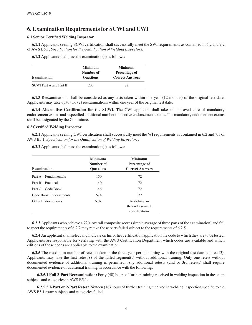#### **6. Examination Requirements for SCWI and CWI**

#### **6.1 Senior Certified Welding Inspector**

**6.1.1** Applicants seeking SCWI certification shall successfully meet the SWI requirements as contained in 6.2 and 7.2 of AWS B5.1, *Specification for the Qualification of Welding Inspectors*.

**6.1.2** Applicants shall pass the examination(s) as follows:

| <b>Examination</b>            | <b>Minimum</b><br>Number of<br><b>Ouestions</b> | <b>Minimum</b><br>Percentage of<br><b>Correct Answers</b> |
|-------------------------------|-------------------------------------------------|-----------------------------------------------------------|
| <b>SCWI Part A and Part B</b> | 200                                             | 72                                                        |

**6.1.3** Reexaminations shall be considered as any tests taken within one year (12 months) of the original test date. Applicants may take up to two (2) reexaminations within one year of the original test date.

**6.1.4 Alternative Certification for the SCWI.** The CWI applicant shall take an approved core of mandatory endorsement exams and a specified additional number of elective endorsement exams. The mandatory endorsement exams shall be designated by the Committee.

#### **6.2 Certified Welding Inspector**

**6.2.1** Applicants seeking CWI certification shall successfully meet the WI requirements as contained in 6.2 and 7.1 of AWS B5.1, *Specification for the Qualification of Welding Inspectors*.

| <b>Examination</b>     | Minimum<br>Number of<br><b>Ouestions</b> | Minimum<br>Percentage of<br><b>Correct Answers</b> |
|------------------------|------------------------------------------|----------------------------------------------------|
| Part A—Fundamentals    | 150                                      | 72                                                 |
| Part B-Practical       | 40                                       | 72                                                 |
| Part C—Code Book       | 46                                       | 72                                                 |
| Code Book Endorsements | N/A                                      | 72                                                 |
| Other Endorsements     | N/A                                      | As defined in<br>the endorsement<br>specifications |

**6.2.2** Applicants shall pass the examination(s) as follows:

**6.2.3** Applicants who achieve a 72% overall composite score (simple average of three parts of the examination) and fail to meet the requirements of 6.2.2 may retake those parts failed subject to the requirements of 6.2.5.

**6.2.4** An applicant shall select and indicate on his or her certification application the code to which they are to be tested. Applicants are responsible for verifying with the AWS Certification Department which codes are available and which editions of those codes are applicable to the examination.

**6.2.5** The maximum number of retests taken in the three-year period starting with the original test date is three (3). Applicants may take the first retest(s) of the failed segment(s) without additional training. Only one retest without documented evidence of additional training is permitted. Any additional retests (2nd or 3rd retests) shall require documented evidence of additional training in accordance with the following:

**6.2.5.1 Full 3-Part Reexamination:** Forty (40) hours of further training received in welding inspection in the exam subjects and categories in AWS B5.1.

**6.2.5.2 1-Part or 2-Part Retest.** Sixteen (16) hours of further training received in welding inspection specific to the AWS B5.1 exam subjects and categories failed.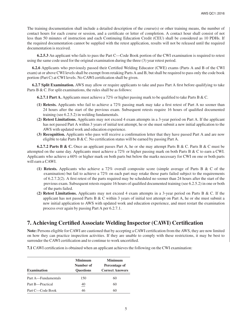The training documentation shall include a detailed description of the course(s) or other training means, the number of contact hours for each course or session, and a certificate or letter of completion. A contact hour shall consist of not less than 50 minutes of instruction and each Continuing Education Credit (CEU) shall be considered as 10 PDHs. If the required documentation cannot be supplied with the retest application, results will not be released until the required documentation is received.

**6.2.5.3** An applicant who fails to pass the Part C—Code Book portion of the CWI examination is required to retest using the same code used for the original examination during the three (3) year retest period.

**6.2.6** Applicants who previously passed their Certified Welding Educator (CWE) exams (Parts A and B of the CWI exam) at or above CWI levels shall be exempt from retaking Parts A and B, but shall be required to pass only the code book portion (Part C) at CWI levels. No CAWI certification shall be given.

**6.2.7 Split Examination.** AWS may allow or require applicants to take and pass Part A first before qualifying to take Parts B & C. For split examinations, the rules shall be as follows:

**6.2.7.1 Part A.** Applicants must achieve a 72% or higher passing mark to be qualified to take Parts B & C.

- **(1) Retests.** Applicants who fail to achieve a 72% passing mark may take a first retest of Part A no sooner than 24 hours after the start of the previous exam. Subsequent retests require 16 hours of qualified documented training (see 6.2.5.2) in welding fundamentals.
- **(2) Retest Limitations.** Applicants may not exceed 4 exam attempts in a 3-year period on Part A. If the applicant has not passed Part A within 3 years of initial test attempt, he or she must submit a new initial application to the AWS with updated work and education experience.
- **(3) Recognition.** Applicants who pass will receive a confirmation letter that they have passed Part A and are now eligible to take Parts B & C. No certification status will be earned by passing Part A.

**6.2.7.2 Parts B & C.** Once an applicant passes Part A, he or she may attempt Parts B & C. Parts B & C must be attempted on the same day. Applicants must achieve a 72% or higher passing mark on both Parts B & C to earn a CWI. Applicants who achieve a 60% or higher mark on both parts but below the marks necessary for CWI on one or both parts will earn a CAWI.

- **(1) Retests.** Applicants who achieve a 72% overall composite score (simple average of Parts B & C of the examination) but fail to achieve a 72% on each part may retake those parts failed subject to the requirements of 6.2.7.2(2). A first retest of the parts required may be scheduled no sooner than 24 hours after the start of the previous exam. Subsequent retests require 16 hours of qualified documented training (see 6.2.5.2) in one or both of the parts failed.
- **(2) Retest Limitations.** Applicants may not exceed 4 exam attempts in a 3-year period on Parts B & C. If the applicant has not passed Parts B  $\&$  C within 3 years of initial test attempt on Part A, he or she must submit a new initial application to AWS with updated work and education experience, and must restart the examination process over again by passing Part A per 6.2.7.1.

#### **7. Achieving Certified Associate Welding Inspector (CAWI) Certification**

**Note:** Persons eligible for CAWI are cautioned that by accepting a CAWI certification from the AWS, they are now limited on how they can practice inspection activities. If they are unable to comply with these restrictions, it may be best to surrender the CAWI certification and to continue to work uncertified.

**7.1** CAWI certification is obtained when an applicant achieves the following on the CWI examination:

| <b>Examination</b>  | <b>Minimum</b><br>Number of<br><b>Ouestions</b> | <b>Minimum</b><br>Percentage of<br><b>Correct Answers</b> |
|---------------------|-------------------------------------------------|-----------------------------------------------------------|
| Part A—Fundamentals | 150                                             | 60                                                        |
| Part B-Practical    | $\overline{40}$                                 | 60                                                        |
| Part C—Code Book    | 46                                              | 60                                                        |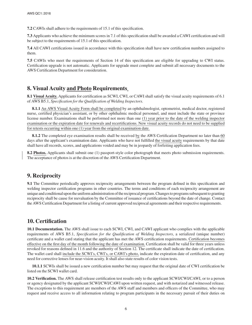**7.2** CAWIs shall adhere to the requirements of 15.1 of this specification.

**7.3** Applicants who achieve the minimum scores in 7.1 of this specification shall be awarded a CAWI certification and will be subject to the requirements of 15.1 of this specification.

**7.4** All CAWI certifications issued in accordance with this specification shall have new certification numbers assigned to them.

**7.5** CAWIs who meet the requirements of Section 14 of this specification are eligible for upgrading to CWI status. Certification upgrade is not automatic. Applicants for upgrade must complete and submit all necessary documents to the AWS Certification Department for consideration.

#### **8. Visual Acuity and Photo Requirements**

**8.1 Visual Acuity.** Applicants for certification as SCWI, CWI, or CAWI shall satisfy the visual acuity requirements of 6.1 of AWS B5.1, *Specification for the Qualification of Welding Inspectors.*

**8.1.1** An AWS Visual Acuity Form shall be completed by an ophthalmologist, optometrist, medical doctor, registered nurse, certified physician's assistant, or by other ophthalmic medical personnel, and must include the state or province license number. Examinations shall be performed not more than one (1) year prior to the date of the welding inspector examination or the expiration date for renewals and recertifications. New visual acuity records do not need to be supplied for retests occurring within one (1) year from the original examination date.

**8.1.2** The completed eye examination results shall be received by the AWS Certification Department no later than 60 days after the applicant's examination date. Applicants who have not fulfilled the visual acuity requirements by that date shall have all records, scores, and applications voided and may be in jeopardy of forfeiting application fees.

**8.2 Photos.** Applicants shall submit one (1) passport-style color photograph that meets photo submission requirements. The acceptance of photos is at the discretion of the AWS Certification Department.

#### **9. Reciprocity**

**9.1** The Committee periodically approves reciprocity arrangements between the program defined in this specification and welding inspector certification programs in other countries. The terms and conditions of each reciprocity arrangement are unique and conditional upon the uniform administration of the reciprocal program. Changes to programs subsequent to granting reciprocity shall be cause for reevaluation by the Committee of issuance of certifications beyond the date of change. Contact the AWS Certification Department for a listing of current approved reciprocal agreements and their respective requirements.

#### **10. Certification**

**10.1 Documentation.** The AWS shall issue to each SCWI, CWI, and CAWI applicant who complies with the applicable requirements of AWS B5.1, *Specification for the Qualification of Welding Inspectors*, a serialized (unique number) certificate and a wallet card stating that the applicant has met the AWS certification requirements. Certification becomes effective on the first day of the month following the date of examination. Certification shall be valid for three years unless revoked for reasons defined in 11.6 and the authority of Section 12. The certificate shall indicate the date of certification. The wallet card shall include the SCWI's, CWI's, or CAWI's photo, indicate the expiration date of certification, and any need for corrective lenses for near-vision acuity. It shall also state results of color vision tests.

**10.1.1** SCWIs shall be issued a new certification number but may request that the original date of CWI certification be listed on the SCWI wallet card.

**10.2 Verification.** The AWS shall release certification test results only to the applicant SCWI/CWI/CAWI, or to a person or agency designated by the applicant SCWI/CWI/CAWI upon written request, and with notarized and witnessed release. The exceptions to this requirement are members of the AWS staff and members and officers of the Committee, who may request and receive access to all information relating to program participants in the necessary pursuit of their duties on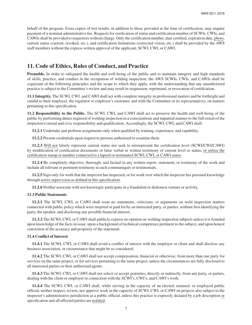behalf of the program. Extra copies of test results, in addition to those provided at the time of certification, may require payment of a nominal administrative fee. Requests for verification of status and certification number of SCWIs, CWIs, and CAWIs shall be provided to requestors without charge. Only the certification number, date certified, expiration date, photo, current status (current, revoked, etc.), and certification limitations (corrected vision, etc.) shall be provided by the AWS staff members without the express written approval of the applicant, SCWI, CWI, or CAWI.

#### **11. Code of Ethics, Rules of Conduct, and Practice**

**Preamble.** In order to safeguard the health and well-being of the public and to maintain integrity and high standards of skills, practice, and conduct in the occupation of welding inspection; the AWS SCWIs, CWIs, and CAWIs shall be cognizant of the following principles and the scope to which they apply, with the understanding that any unauthorized practice is subject to the Committee's review and may result in suspension, reprimand, or revocation of certification.

**11.1 Integrity.** The SCWI, CWI, and CAWI shall act with complete integrity in professional matters and be forthright and candid to their employer, the regulator or employer's customer, and with the Committee or its representatives, on matters pertaining to this specification.

**11.2 Responsibility to the Public.** The SCWI, CWI, and CAWI shall act to preserve the health and well-being of the public by performing duties required of welding inspection in a conscientious and impartial manner to the full extent of the inspector(s) moral and civic responsibility and qualification. Accordingly, the SCWI, CWI, and CAWI shall:

**11.2.1** Undertake and perform assignments only when qualified by training, experience, and capability.

**11.2.2** Present credentials upon request to persons authorized to examine them.

**11.2.3** Will not falsely represent current status nor seek to misrepresent the certification level (SCWI/CWI/CAWI) by modification of certification documents or false verbal or written testimony of current level or status, or utilize the certification stamp or number connected to a lapsed or terminated SCWI, CWI, or CAWI status.

**11.2.4** Be completely objective, thorough, and factual in any written report, statement, or testimony of the work and include all relevant or pertinent testimony in such communiqués or testimonials.

**11.2.5** Sign only for work that the inspector has inspected, or for work over which the inspector has personal knowledge through active supervision as defined in this specification.

**11.2.6** Neither associate with nor knowingly participate in a fraudulent or dishonest venture or activity.

#### **11.3 Public Statements**

**11.3.1** The SCWI, CWI, or CAWI shall issue no statements, criticisms, or arguments on weld inspection matters connected with public policy which were inspired or paid for by an interested party, or parties, without first identifying the party, the speaker, and disclosing any possible financial interest.

**11.3.2** The SCWI, CWI, or CAWI shall publicly express no opinion on welding inspection subjects unless it is founded upon knowledge of the facts in issue, upon a background of technical competence pertinent to the subject, and upon honest conviction of the accuracy and propriety of the statement.

#### **11.4 Conflict of Interest**

**11.4.1** The SCWI, CWI, or CAWI shall avoid a conflict of interest with the employer or client and shall disclose any business association, or circumstance that might be so considered.

**11.4.2** The SCWI, CWI, or CAWI shall not accept compensation, financial or otherwise, from more than one party for services on the same project, or for services pertaining to the same project, unless the circumstances are fully disclosed to all interested parties or their authorized agents.

**11.4.3** The SCWI, CWI, or CAWI shall not solicit or accept gratuities, directly or indirectly, from any party, or parties, dealing with the client or employer in connection with the SCWI's, CWI's, and CAWI's work.

**11.4.4** The SCWI, CWI, or CAWI shall, while serving in the capacity of an elected, retained, or employed public official, neither inspect, review, nor approve work in the capacity of SCWI, CWI, or CAWI on projects also subject to the inspector's administrative jurisdiction as a public official, unless this practice is expressly dictated by a job description or specification and all affected parties are notified.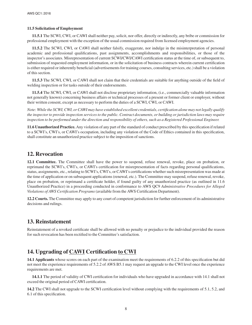#### **11.5 Solicitation of Employment**

**11.5.1** The SCWI, CWI, or CAWI shall neither pay, solicit, nor offer, directly or indirectly, any bribe or commission for professional employment with the exception of the usual commission required from licensed employment agencies.

**11.5.2** The SCWI, CWI, or CAWI shall neither falsify, exaggerate, nor indulge in the misinterpretation of personal academic and professional qualifications, past assignments, accomplishments and responsibilities, or those of the inspector's associates. Misrepresentation of current SCWI/CWI/CAWI certification status at the time of, or subsequent to, submission of requested employment information, or in the solicitation of business contracts wherein current certification is either required or inherently beneficial (advertisements for training courses, consulting services, etc.) shall be a violation of this section.

**11.5.3** The SCWI, CWI, or CAWI shall not claim that their credentials are suitable for anything outside of the field of welding inspection or for tasks outside of their endorsements.

**11.5.4** The SCWI, CWI, or CAWI shall not disclose proprietary information, (i.e., commercially valuable information not generally known) concerning business affairs or technical processes of a present or former client or employer, without their written consent, except as necessary to perform the duties of a SCWI, CWI, or CAWI.

*Note: While the SCWI, CWI, or CAWI may have established excellent credentials, certification alone may not legally qualify the inspector to provide inspection services to the public. Contract documents, or building or jurisdiction laws may require inspection to be performed under the direction and responsibility of others, such as a Registered Professional Engineer.*

**11.6 Unauthorized Practice.** Any violation of any part of the standard of conduct prescribed by this specification if related to a SCWI's, CWI's, or CAWI's occupation, including any violation of the Code of Ethics contained in this specification, shall constitute an unauthorized practice subject to the imposition of sanctions.

#### **12. Revocation**

**12.1 Committee.** The Committee shall have the power to suspend, refuse renewal, revoke, place on probation, or reprimand the SCWI's, CWI's, or CAWI's certification for misrepresentation of facts regarding personal qualifications, status, assignments, etc., relating to SCWI's, CWI's, or CAWI's certifications whether such misrepresentation was made at the time of application or on subsequent applications (renewal, etc.). The Committee may suspend, refuse renewal, revoke, place on probation, or reprimand a certificate holder, if found guilty of any unauthorized practice (as outlined in 11.6 Unauthorized Practice) in a proceeding conducted in conformance to AWS QC9 *Administrative Procedures for Alleged Violations of AWS Certification Programs* (available from the AWS Certification Department).

**12.2 Courts.** The Committee may apply to any court of competent jurisdiction for further enforcement of its administrative decisions and rulings.

#### **13. Reinstatement**

Reinstatement of a revoked certificate shall be allowed with no penalty or prejudice to the individual provided the reason for such revocation has been rectified to the Committee's satisfaction.

#### **14. Upgrading of CAWI Certification to CWI**

**14.1 Applicants** whose scores on each part of the examination meet the requirements of 6.2.2 of this specification but did not meet the experience requirements of 5.2.2 of AWS B5.1 may request an upgrade to the CWI level once the experience requirements are met.

**14.1.1** The period of validity of CWI certification for individuals who have upgraded in accordance with 14.1 shall not exceed the original period of CAWI certification.

**14.2** The CWI shall not upgrade to the SCWI certification level without complying with the requirements of 5.1, 5.2, and 6.1 of this specification.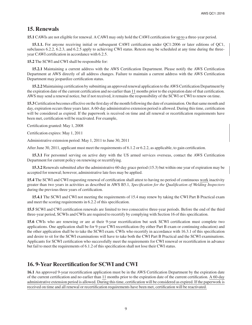#### **15. Renewals**

**15.1** CAWIs are not eligible for renewal. A CAWI may only hold the CAWI certification for up to a three-year period.

**15.1.1.** For anyone receiving initial or subsequent CAWI certification under QC1:2006 or later editions of QC1, subclauses 6.2.2, 6.2.3, and 6.2.5 apply to achieving CWI status. Retests may be scheduled at any time during the threeyear CAWI certification in accordance with 6.2.5.

**15.2** The SCWI and CWI shall be responsible for:

**15.2.1** Maintaining a current address with the AWS Certification Department. Please notify the AWS Certification Department at AWS directly of all address changes. Failure to maintain a current address with the AWS Certification Department may jeopardize certification status.

**15.2.2** Maintaining certification by submitting an approved renewal application to the AWS Certification Department by the expiration date of the current certification and no earlier than 11 months prior to the expiration date of that certification. AWS may send a renewal notice, but if not received, it remains the responsibility of the SCWI or CWI to renew on time.

**15.3** Certification becomes effective on the first day of the month following the date of examination. On that same month and day, expiration occurs three years later. A 60-day administrative extension period is allowed. During this time, certification will be considered as expired. If the paperwork is received on time and all renewal or recertification requirements have been met, certification will be reactivated. For example,

Certification granted: May 1, 2008

Certification expires: May 1, 2011

Administrative extension period: May 1, 2011 to June 30, 2011

After June 30, 2011, applicant must meet the requirements of 6.1.2 or 6.2.2, as applicable, to gain certification.

**15.3.1** For personnel serving on active duty with the US armed services overseas, contact the AWS Certification Department for current policy on renewing or recertifying.

**15.3.2** Renewals submitted after the administrative 60-day grace period (15.3) but within one year of expiration may be accepted for renewal; however, administrative late fees may be applied.

**15.4** The SCWI and CWI requesting renewal of certification shall attest to having no period of continuous work inactivity greater than two years in activities as described in AWS B5.1, *Specification for the Qualification of Welding Inspectors*  during the previous three years of certification.

**15.4.1** The SCWI and CWI not meeting the requirements of 15.4 may renew by taking the CWI Part B Practical exam and meet the scoring requirements in 6.2.2 of this specification.

**15.5** SCWI and CWI certification renewals are limited to two consecutive three-year periods. Before the end of the third three-year period, SCWIs and CWIs are required to recertify by complying with Section 16 of this specification.

**15.6** CWIs who are renewing or are at their 9-year recertification but seek SCWI certification must complete two applications. One application shall be for 9-year CWI recertification (by either Part B exam or continuing education) and the other application shall be to take the SCWI exam. CWIs who recertify in accordance with 16.3.1 of this specification and desire to sit for the SCWI examinations will have to take both the CWI Part B Practical and the SCWI examinations. Applicants for SCWI certification who successfully meet the requirements for CWI renewal or recertification in advance but fail to meet the requirements of 6.1.2 of this specification shall not lose their CWI status.

#### **16. 9-Year Recertification for SCWI and CWI**

**16.1** An approved 9-year recertification application must be in the AWS Certification Department by the expiration date of the current certification and no earlier than 11 months prior to the expiration date of the current certification. A 60-day administrative extension period is allowed. During this time, certification will be considered as expired. If the paperwork is received on time and all renewal or recertification requirements have been met, certification will be reactivated.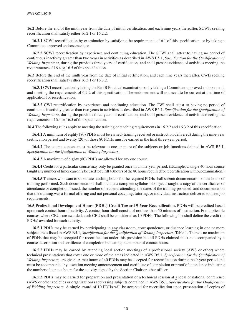**16.2** Before the end of the ninth year from the date of initial certification, and each nine years thereafter, SCWIs seeking recertification shall satisfy either 16.2.1 or 16.2.2.

**16.2.1** SCWI recertification by examination by satisfying the requirements of 6.1 of this specification, or by taking a Committee-approved endorsement, or

**16.2.2** SCWI recertification by experience and continuing education. The SCWI shall attest to having no period of continuous inactivity greater than two years in activities as described in AWS B5.1, *Specification for the Qualification of Welding Inspectors*, during the previous three years of certification, and shall present evidence of activities meeting the requirements of 16.4 or 16.5 of this specification.

**16.3** Before the end of the ninth year from the date of initial certification, and each nine years thereafter, CWIs seeking recertification shall satisfy either 16.3.1 or 16.3.2.

**16.3.1** CWI recertification by taking the Part B Practical examination or by taking a Committee-approved endorsement, and meeting the requirements of 6.2.2 of this specification. The endorsement will not need to be current at the time of application for recertification.

**16.3.2** CWI recertification by experience and continuing education. The CWI shall attest to having no period of continuous inactivity greater than two years in activities as described in AWS B5.1, *Specification for the Qualification of Welding Inspectors*, during the previous three years of certification, and shall present evidence of activities meeting the requirements of 16.4 or 16.5 of this specification.

**16.4** The following rules apply to meeting the training or teaching requirements in 16.2.2 and 16.3.2 of this specification.

**16.4.1** A minimum of eighty (80) PDHs must be earned (training received or instruction delivered) during the nine-year certification period and twenty (20) of those 80 PDHs must be earned in the final three-year period.

**16.4.2** The course content must be relevant to one or more of the subjects or job functions defined in AWS B5.1, *Specification for the Qualification of Welding Inspectors*.

**16.4.3** A maximum of eighty (80) PDHs are allowed for any one course.

**16.4.4** Credit for a particular course may only be granted once in a nine-year period. (Example: a single 40-hour course taught any number of times can only be used to fulfill 40 hours of the 80 hours required for recertification without examination.)

**16.4.5** Trainers who want to substitute teaching hours for the required PDHs shall submit documentation of the hours of training performed. Such documentation shall include a complete syllabus of subjects taught, a copy of the certificates of attendance or completion issued, the number of students attending, the dates of the training provided, and documentation that the training was a formal offering and not personal coaching, tutoring, or individual instruction delivered to meet job requirements.

**16.5 Professional Development Hours (PDHs) Credit Toward 9-Year Recertification.** PDHs will be credited based upon each contact hour of activity. A contact hour shall consist of not less than 50 minutes of instruction. For applicable courses where CEUs are awarded, each CEU shall be considered as 10 PDHs. The following list shall define the credit (in PDHs) awarded for each activity.

**16.5.1** PDHs may be earned by participating in any classroom, correspondence, or distance learning in one or more subject areas listed in AWS B5.1, *Specification for the Qualification of Welding Inspectors*, Table 1. There is no maximum of PDHs that may be accepted for recertification under this provision but all PDHs claimed must be accompanied by a course description and certificate of completion indicating the number of contact hours.

**16.5.2** PDHs may be earned by attending local section meetings of a professional society (AWS or other) where technical presentations that cover one or more of the areas indicated in AWS B5.1, *Specification for the Qualification of Welding Inspectors,* are given*.* A maximum of 40 PDHs may be accepted for recertification during the 9-year period and must be accompanied by a section meeting announcement and certificate of completion or proof of attendance indicating the number of contact hours for the activity signed by the Section Chair or other officer.

**16.5.3** PDHs may be earned for preparation and presentation of a technical session at a local or national conference (AWS or other societies or organizations) addressing subjects contained in AWS B5.1, *Specification for the Qualification of Welding Inspectors*. A single award of 10 PDHs will be accepted for recertification upon presentation of copies of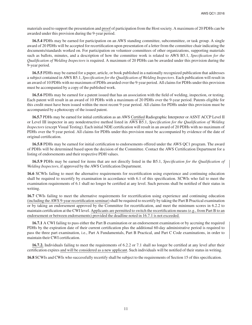materials used to support the presentation and proof of participation from the Host society. A maximum of 20 PDHs can be awarded under this provision during the 9-year period.

**16.5.4** PDHs may be earned for participation on an AWS standing committee, subcommittee, or task group. A single award of 20 PDHs will be accepted for recertification upon presentation of a letter from the committee chair indicating the documents/standards worked on. For participation on volunteer committees of other organizations, supporting materials such as ballots, minutes, and a description of how the committee work is related to AWS B5.1, *Specification for the Qualification of Welding Inspectors* is required. A maximum of 20 PDHs can be awarded under this provision during the 9-year period.

**16.5.5** PDHs may be earned for a paper, article, or book published in a nationally recognized publication that addresses a subject contained in AWS B5.1, *Specification for the Qualification of Welding Inspectors*. Each publication will result in an award of 10 PDHs with no maximum of PDHs awarded over the 9-year period. All claims for PDHs under this provision must be accompanied by a copy of the published work.

**16.5.6** PDHs may be earned for a patent issued that has an association with the field of welding, inspection, or testing. Each patent will result in an award of 10 PDHs with a maximum of 20 PDHs over the 9-year period. Patents eligible for this credit must have been issued within the most recent 9-year period. All claims for PDHs under this provision must be accompanied by a photocopy of the issued patent.

**16.5.7** PDHs may be earned for initial certification as an AWS Certified Radiographic Interpreter or ASNT ACCP Level II or Level III inspector in any nondestructive method listed in AWS B5.1, *Specification for the Qualification of Welding Inspectors* (except Visual Testing). Each initial NDE certification will result in an award of 20 PDHs with no maximum of PDHs over the 9-year period. All claims for PDHs under this provision must be accompanied by evidence of the date of original certification.

**16.5.8** PDHs may be earned for initial certification to endorsements offered under the AWS QC1 program. The award of PDHs will be determined based upon the decision of the Committee. Contact the AWS Certification Department for a listing of endorsements and their respective PDH values.

**16.5.9** PDHs may be earned for items that are not directly listed in the B5.1, *Specification for the Qualification of Welding Inspectors*, if approved by the AWS Certification Department.

**16.6** SCWIs failing to meet the alternative requirements for recertification using experience and continuing education shall be required to recertify by examination in accordance with 6.1 of this specification. SCWIs who fail to meet the examination requirements of 6.1 shall no longer be certified at any level. Such persons shall be notified of their status in writing.

**16.7** CWIs failing to meet the alternative requirements for recertification using experience and continuing education (including the AWS 9-year recertification seminar) shall be required to recertify by taking the Part B Practical examination or by taking an endorsement approved by the Committee for recertification, and meet the minimum scores in 6.2.2 to maintain certification at the CWI level. Applicants are permitted to switch the recertification means (e.g., from Part B to an endorsement or between endorsements) provided the deadline noted in 16.7.1 is not exceeded.

**16.7.1** A CWI failing to pass either the Part B examination or an endorsement examination or by accruing the required PDHs by the expiration date of their current certification plus the additional 60-day administrative period is required to pass the three part examination, i.e., Part A Fundamentals, Part B Practical, and Part C Code examinations, in order to maintain their CWI certification.

**16.7.2.** Individuals failing to meet the requirements of 6.2.2 or 7.1 shall no longer be certified at any level after their certification expires and will be considered as a new applicant. Such individuals will be notified of their status in writing.

**16.8** SCWIs and CWIs who successfully recertify shall be subject to the requirements of Section 15 of this specification.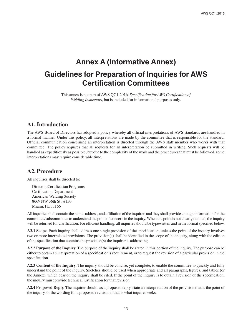### **Annex A (Informative Annex) Guidelines for Preparation of Inquiries for AWS Certification Committees**

This annex is not part of AWS QC1:2016, *Specification for AWS Certification of Welding Inspectors*, but is included for informational purposes only.

#### **A1. Introduction**

The AWS Board of Directors has adopted a policy whereby all official interpretations of AWS standards are handled in a formal manner. Under this policy, all interpretations are made by the committee that is responsible for the standard. Official communication concerning an interpretation is directed through the AWS staff member who works with that committee. The policy requires that all requests for an interpretation be submitted in writing. Such requests will be handled as expeditiously as possible, but due to the complexity of the work and the procedures that must be followed, some interpretations may require considerable time.

#### **A2. Procedure**

All inquiries shall be directed to:

Director, Certification Programs Certification Department American Welding Society 8669 NW 36th St., #130 Miami, FL 33166

All inquiries shall contain the name, address, and affiliation of the inquirer, and they shall provide enough information for the committee/subcommittee to understand the point of concern in the inquiry. When the point is not clearly defined, the inquiry will be returned for clarification. For efficient handling, all inquiries should be typewritten and in the format specified below.

**A2.1 Scope.** Each inquiry shall address one single provision of the specification, unless the point of the inquiry involves two or more interrelated provisions. The provision(s) shall be identified in the scope of the inquiry, along with the edition of the specification that contains the provision(s) the inquirer is addressing.

**A2.2 Purpose of the Inquiry.** The purpose of the inquiry shall be stated in this portion of the inquiry. The purpose can be either to obtain an interpretation of a specification's requirement, or to request the revision of a particular provision in the specification.

**A2.3 Content of the Inquiry.** The inquiry should be concise, yet complete, to enable the committee to quickly and fully understand the point of the inquiry. Sketches should be used when appropriate and all paragraphs, figures, and tables (or the Annex), which bear on the inquiry shall be cited. If the point of the inquiry is to obtain a revision of the specification, the inquiry must provide technical justification for that revision.

**A2.4 Proposed Reply.** The inquirer should, as a proposed reply, state an interpretation of the provision that is the point of the inquiry, or the wording for a proposed revision, if that is what inquirer seeks.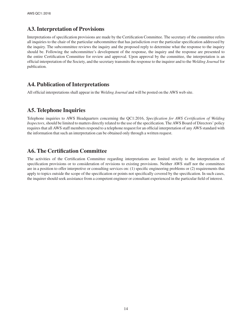#### **A3. Interpretation of Provisions**

Interpretations of specification provisions are made by the Certification Committee. The secretary of the committee refers all inquiries to the chair of the particular subcommittee that has jurisdiction over the particular specification addressed by the inquiry. The subcommittee reviews the inquiry and the proposed reply to determine what the response to the inquiry should be. Following the subcommittee's development of the response, the inquiry and the response are presented to the entire Certification Committee for review and approval. Upon approval by the committee, the interpretation is an official interpretation of the Society, and the secretary transmits the response to the inquirer and to the *Welding Journal* for publication.

#### **A4. Publication of Interpretations**

All official interpretations shall appear in the *Welding Journal* and will be posted on the AWS web site.

### **A5. Telephone Inquiries**

Telephone inquiries to AWS Headquarters concerning the QC1:2016, *Specification for AWS Certification of Welding Inspectors*, should be limited to matters directly related to the use of the specification. The AWS Board of Directors' policy requires that all AWS staff members respond to a telephone request for an official interpretation of any AWS standard with the information that such an interpretation can be obtained only through a written request.

#### **A6. The Certification Committee**

The activities of the Certification Committee regarding interpretations are limited strictly to the interpretation of specification provisions or to consideration of revisions to existing provisions. Neither AWS staff nor the committees are in a position to offer interpretive or consulting services on: (1) specific engineering problems or (2) requirements that apply to topics outside the scope of the specification or points not specifically covered by the specification. In such cases, the inquirer should seek assistance from a competent engineer or consultant experienced in the particular field of interest.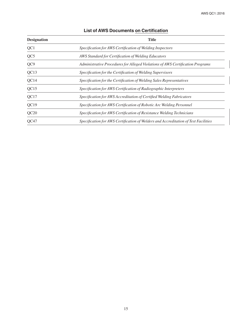| <b>Title</b><br><b>Designation</b> |                                                                                     |
|------------------------------------|-------------------------------------------------------------------------------------|
| QC1                                | Specification for AWS Certification of Welding Inspectors                           |
| QC5                                | AWS Standard for Certification of Welding Educators                                 |
| QC9                                | Administrative Procedures for Alleged Violations of AWS Certification Programs      |
| QC13                               | Specification for the Certification of Welding Supervisors                          |
| QC14                               | Specification for the Certification of Welding Sales Representatives                |
| QC15                               | Specification for AWS Certification of Radiographic Interpreters                    |
| QC17                               | Specification for AWS Accreditation of Certified Welding Fabricators                |
| QC19                               | Specification for AWS Certification of Robotic Arc Welding Personnel                |
| QC20                               | Specification for AWS Certification of Resistance Welding Technicians               |
| OC47                               | Specification for AWS Certification of Welders and Accreditation of Test Facilities |

#### **List of AWS Documents on Certification**